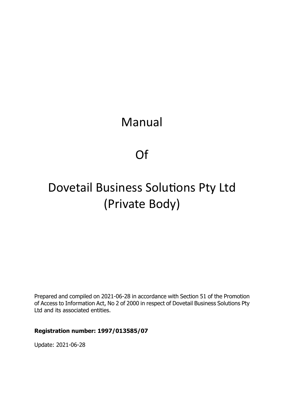# Manual

# Of

# Dovetail Business Solutions Pty Ltd (Private Body)

Prepared and compiled on 2021-06-28 in accordance with Section 51 of the Promotion of Access to Information Act, No 2 of 2000 in respect of Dovetail Business Solutions Pty Ltd and its associated entities.

#### **Registration number: 1997/013585/07**

Update: 2021-06-28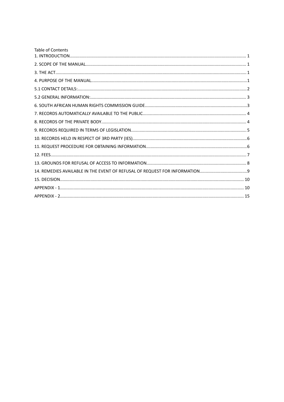| <b>Table of Contents</b> |  |
|--------------------------|--|
|                          |  |
|                          |  |
|                          |  |
|                          |  |
|                          |  |
|                          |  |
|                          |  |
|                          |  |
|                          |  |
|                          |  |
|                          |  |
|                          |  |
|                          |  |
|                          |  |
|                          |  |
|                          |  |
|                          |  |
|                          |  |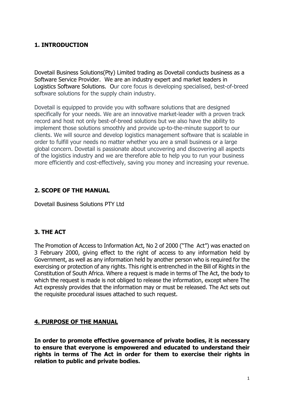## <span id="page-2-0"></span>**1. INTRODUCTION**

Dovetail Business Solutions(Pty) Limited trading as Dovetail conducts business as a Software Service Provider. We are an industry expert and market leaders in Logistics Software Solutions. Our core focus is developing specialised, best-of-breed software solutions for the supply chain industry.

Dovetail is equipped to provide you with software solutions that are designed specifically for your needs. We are an innovative market-leader with a proven track record and host not only best-of-breed solutions but we also have the ability to implement those solutions smoothly and provide up-to-the-minute support to our clients. We will source and develop logistics management software that is scalable in order to fulfill your needs no matter whether you are a small business or a large global concern. Dovetail is passionate about uncovering and discovering all aspects of the logistics industry and we are therefore able to help you to run your business more efficiently and cost-effectively, saving you money and increasing your revenue.

## <span id="page-2-1"></span>**2. SCOPE OF THE MANUAL**

Dovetail Business Solutions PTY Ltd

## <span id="page-2-2"></span>**3. THE ACT**

The Promotion of Access to Information Act, No 2 of 2000 ("The Act") was enacted on 3 February 2000, giving effect to the right of access to any information held by Government, as well as any information held by another person who is required for the exercising or protection of any rights. This right is entrenched in the Bill of Rights in the Constitution of South Africa. Where a request is made in terms of The Act, the body to which the request is made is not obliged to release the information, except where The Act expressly provides that the information may or must be released. The Act sets out the requisite procedural issues attached to such request.

## <span id="page-2-3"></span>**4. PURPOSE OF THE MANUAL**

**In order to promote effective governance of private bodies, it is necessary to ensure that everyone is empowered and educated to understand their rights in terms of The Act in order for them to exercise their rights in relation to public and private bodies.**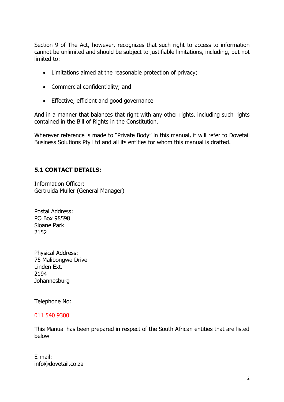Section 9 of The Act, however, recognizes that such right to access to information cannot be unlimited and should be subject to justifiable limitations, including, but not limited to:

- Limitations aimed at the reasonable protection of privacy;
- Commercial confidentiality; and
- Effective, efficient and good governance

And in a manner that balances that right with any other rights, including such rights contained in the Bill of Rights in the Constitution.

Wherever reference is made to "Private Body" in this manual, it will refer to Dovetail Business Solutions Pty Ltd and all its entities for whom this manual is drafted.

## <span id="page-3-0"></span>**5.1 CONTACT DETAILS:**

Information Officer: Gertruida Muller (General Manager)

Postal Address: PO Box 98598 Sloane Park 2152

Physical Address: 75 Malibongwe Drive Linden Ext. 2194 Johannesburg

Telephone No:

#### 011 540 9300

This Manual has been prepared in respect of the South African entities that are listed below –

E-mail: info@dovetail.co.za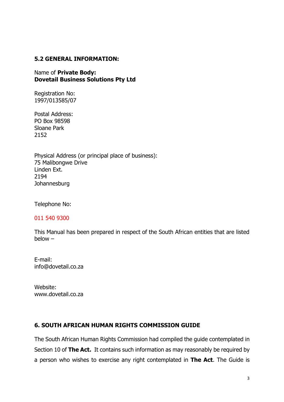#### <span id="page-4-0"></span>**5.2 GENERAL INFORMATION:**

Name of **Private Body: Dovetail Business Solutions Pty Ltd**

Registration No: 1997/013585/07

Postal Address: PO Box 98598 Sloane Park 2152

Physical Address (or principal place of business): 75 Malibongwe Drive Linden Ext. 2194 **Johannesburg** 

Telephone No:

#### 011 540 9300

This Manual has been prepared in respect of the South African entities that are listed below –

E-mail: info@dovetail.co.za

Website: www.dovetail.co.za

#### <span id="page-4-1"></span>**6. SOUTH AFRICAN HUMAN RIGHTS COMMISSION GUIDE**

The South African Human Rights Commission had compiled the guide contemplated in Section 10 of **The Act.** It contains such information as may reasonably be required by a person who wishes to exercise any right contemplated in **The Act**. The Guide is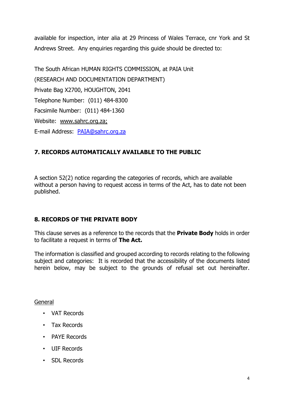available for inspection, inter alia at 29 Princess of Wales Terrace, cnr York and St Andrews Street. Any enquiries regarding this guide should be directed to:

The South African HUMAN RIGHTS COMMISSION, at PAIA Unit (RESEARCH AND DOCUMENTATION DEPARTMENT) Private Bag X2700, HOUGHTON, 2041 Telephone Number: (011) 484-8300 Facsimile Number: (011) 484-1360 Website: www.sahrc.org.za; E-mail Address: [PAIA@sahrc.org.za](mailto:PAIA@sahrc.org.za)

## <span id="page-5-0"></span>**7. RECORDS AUTOMATICALLY AVAILABLE TO THE PUBLIC**

A section 52(2) notice regarding the categories of records, which are available without a person having to request access in terms of the Act, has to date not been published.

## <span id="page-5-1"></span>**8. RECORDS OF THE PRIVATE BODY**

This clause serves as a reference to the records that the **Private Body** holds in order to facilitate a request in terms of **The Act.**

The information is classified and grouped according to records relating to the following subject and categories: It is recorded that the accessibility of the documents listed herein below, may be subject to the grounds of refusal set out hereinafter.

## General

- VAT Records
- Tax Records
- PAYE Records
- UIF Records
- SDL Records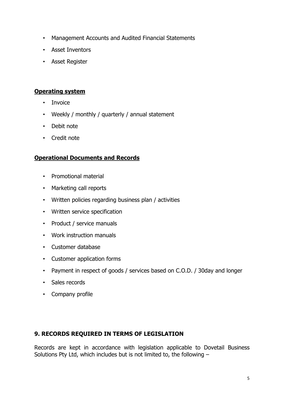- Management Accounts and Audited Financial Statements
- Asset Inventors
- Asset Register

#### **Operating system**

- Invoice
- Weekly / monthly / quarterly / annual statement
- Debit note
- Credit note

#### **Operational Documents and Records**

- Promotional material
- Marketing call reports
- Written policies regarding business plan / activities
- Written service specification
- Product / service manuals
- Work instruction manuals
- Customer database
- Customer application forms
- Payment in respect of goods / services based on C.O.D. / 30day and longer
- Sales records
- Company profile

## <span id="page-6-0"></span>**9. RECORDS REQUIRED IN TERMS OF LEGISLATION**

Records are kept in accordance with legislation applicable to Dovetail Business Solutions Pty Ltd, which includes but is not limited to, the following –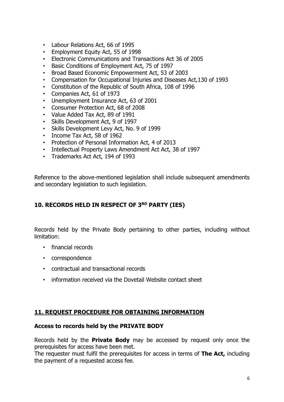- Labour Relations Act, 66 of 1995
- Employment Equity Act, 55 of 1998
- Electronic Communications and Transactions Act 36 of 2005
- Basic Conditions of Employment Act, 75 of 1997
- Broad Based Economic Empowerment Act, 53 of 2003
- Compensation for Occupational Injuries and Diseases Act,130 of 1993
- Constitution of the Republic of South Africa, 108 of 1996
- Companies Act, 61 of 1973
- Unemployment Insurance Act, 63 of 2001
- Consumer Protection Act, 68 of 2008
- Value Added Tax Act, 89 of 1991
- Skills Development Act, 9 of 1997
- Skills Development Levy Act, No. 9 of 1999
- Income Tax Act, 58 of 1962
- Protection of Personal Information Act, 4 of 2013
- Intellectual Property Laws Amendment Act Act, 38 of 1997
- Trademarks Act Act, 194 of 1993

Reference to the above-mentioned legislation shall include subsequent amendments and secondary legislation to such legislation.

## <span id="page-7-0"></span>**10. RECORDS HELD IN RESPECT OF 3 RD PARTY (IES)**

Records held by the Private Body pertaining to other parties, including without limitation:

- financial records
- correspondence
- contractual and transactional records
- information received via the Dovetail Website contact sheet

#### <span id="page-7-1"></span>**11. REQUEST PROCEDURE FOR OBTAINING INFORMATION**

#### **Access to records held by the PRIVATE BODY**

Records held by the **Private Body** may be accessed by request only once the prerequisites for access have been met.

The requester must fulfil the prerequisites for access in terms of **The Act,** including the payment of a requested access fee.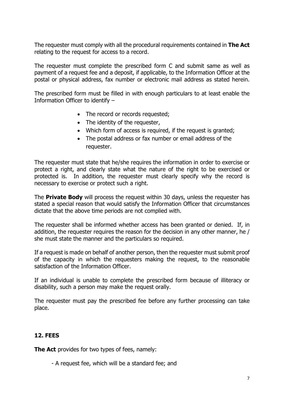The requester must comply with all the procedural requirements contained in **The Act** relating to the request for access to a record.

The requester must complete the prescribed form C and submit same as well as payment of a request fee and a deposit, if applicable, to the Information Officer at the postal or physical address, fax number or electronic mail address as stated herein.

The prescribed form must be filled in with enough particulars to at least enable the Information Officer to identify –

- The record or records requested;
- The identity of the requester,
- Which form of access is required, if the request is granted;
- The postal address or fax number or email address of the requester.

The requester must state that he/she requires the information in order to exercise or protect a right, and clearly state what the nature of the right to be exercised or protected is. In addition, the requester must clearly specify why the record is necessary to exercise or protect such a right.

The **Private Body** will process the request within 30 days, unless the requester has stated a special reason that would satisfy the Information Officer that circumstances dictate that the above time periods are not complied with.

The requester shall be informed whether access has been granted or denied. If, in addition, the requester requires the reason for the decision in any other manner, he / she must state the manner and the particulars so required.

If a request is made on behalf of another person, then the requester must submit proof of the capacity in which the requesters making the request, to the reasonable satisfaction of the Information Officer.

If an individual is unable to complete the prescribed form because of illiteracy or disability, such a person may make the request orally.

The requester must pay the prescribed fee before any further processing can take place.

## <span id="page-8-0"></span>**12. FEES**

**The Act** provides for two types of fees, namely:

- A request fee, which will be a standard fee; and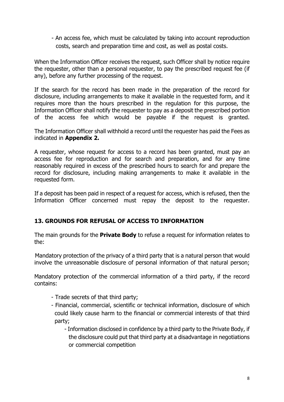- An access fee, which must be calculated by taking into account reproduction costs, search and preparation time and cost, as well as postal costs.

When the Information Officer receives the request, such Officer shall by notice require the requester, other than a personal requester, to pay the prescribed request fee (if any), before any further processing of the request.

If the search for the record has been made in the preparation of the record for disclosure, including arrangements to make it available in the requested form, and it requires more than the hours prescribed in the regulation for this purpose, the Information Officer shall notify the requester to pay as a deposit the prescribed portion of the access fee which would be payable if the request is granted.

The Information Officer shall withhold a record until the requester has paid the Fees as indicated in **Appendix 2.**

A requester, whose request for access to a record has been granted, must pay an access fee for reproduction and for search and preparation, and for any time reasonably required in excess of the prescribed hours to search for and prepare the record for disclosure, including making arrangements to make it available in the requested form.

If a deposit has been paid in respect of a request for access, which is refused, then the Information Officer concerned must repay the deposit to the requester.

## <span id="page-9-0"></span>**13. GROUNDS FOR REFUSAL OF ACCESS TO INFORMATION**

The main grounds for the **Private Body** to refuse a request for information relates to the:

Mandatory protection of the privacy of a third party that is a natural person that would involve the unreasonable disclosure of personal information of that natural person;

Mandatory protection of the commercial information of a third party, if the record contains:

- Trade secrets of that third party;
- Financial, commercial, scientific or technical information, disclosure of which could likely cause harm to the financial or commercial interests of that third party;
	- Information disclosed in confidence by a third party to the Private Body, if the disclosure could put that third party at a disadvantage in negotiations or commercial competition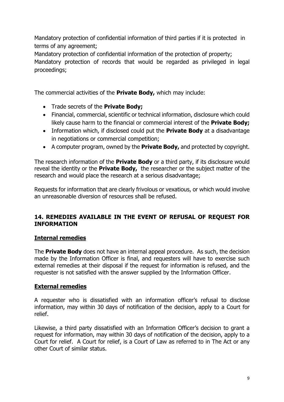Mandatory protection of confidential information of third parties if it is protected in terms of any agreement;

Mandatory protection of confidential information of the protection of property; Mandatory protection of records that would be regarded as privileged in legal proceedings;

The commercial activities of the **Private Body,** which may include:

- Trade secrets of the **Private Body;**
- Financial, commercial, scientific or technical information, disclosure which could likely cause harm to the financial or commercial interest of the **Private Body;**
- Information which, if disclosed could put the **Private Body** at a disadvantage in negotiations or commercial competition;
- A computer program, owned by the **Private Body,** and protected by copyright.

The research information of the **Private Body** or a third party, if its disclosure would reveal the identity or the **Private Body,** the researcher or the subject matter of the research and would place the research at a serious disadvantage;

Requests for information that are clearly frivolous or vexatious, or which would involve an unreasonable diversion of resources shall be refused.

## <span id="page-10-0"></span>**14. REMEDIES AVAILABLE IN THE EVENT OF REFUSAL OF REQUEST FOR INFORMATION**

#### **Internal remedies**

The **Private Body** does not have an internal appeal procedure. As such, the decision made by the Information Officer is final, and requesters will have to exercise such external remedies at their disposal if the request for information is refused, and the requester is not satisfied with the answer supplied by the Information Officer.

#### **External remedies**

A requester who is dissatisfied with an information officer's refusal to disclose information, may within 30 days of notification of the decision, apply to a Court for relief.

Likewise, a third party dissatisfied with an Information Officer's decision to grant a request for information, may within 30 days of notification of the decision, apply to a Court for relief. A Court for relief, is a Court of Law as referred to in The Act or any other Court of similar status.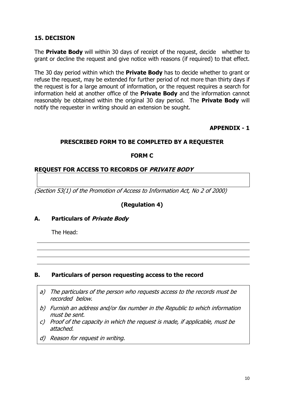#### <span id="page-11-0"></span>**15. DECISION**

The **Private Body** will within 30 days of receipt of the request, decide whether to grant or decline the request and give notice with reasons (if required) to that effect.

The 30 day period within which the **Private Body** has to decide whether to grant or refuse the request, may be extended for further period of not more than thirty days if the request is for a large amount of information, or the request requires a search for information held at another office of the **Private Body** and the information cannot reasonably be obtained within the original 30 day period. The **Private Body** will notify the requester in writing should an extension be sought.

**APPENDIX - 1**

#### <span id="page-11-1"></span>**PRESCRIBED FORM TO BE COMPLETED BY A REQUESTER**

#### **FORM C**

#### **REQUEST FOR ACCESS TO RECORDS OF** *PRIVATE BODY*

*(Section 53(1) of the Promotion of Access to Information Act, No 2 of 2000)*

#### **(Regulation 4)**

#### **A. Particulars of** *Private Body*

The Head:

#### **B. Particulars of person requesting access to the record**

- *a) The particulars of the person who requests access to the records must be recorded below.*
- *b) Furnish an address and/or fax number in the Republic to which information must be sent.*
- *c) Proof of the capacity in which the request is made, if applicable, must be attached.*
- *d) Reason for request in writing.*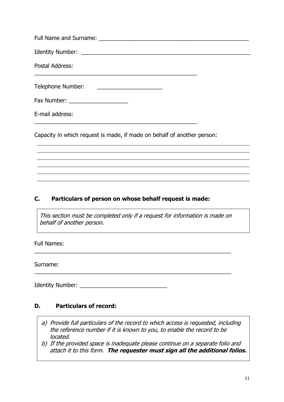| Postal Address:                     |  |
|-------------------------------------|--|
| Telephone Number:                   |  |
| Fax Number: _______________________ |  |
| E-mail address:                     |  |
|                                     |  |

Capacity in which request is made, if made on behalf of another person:

## **C. Particulars of person on whose behalf request is made:**

*This section must be completed only if <sup>a</sup> request for information is made on behalf of another person.*

\_\_\_\_\_\_\_\_\_\_\_\_\_\_\_\_\_\_\_\_\_\_\_\_\_\_\_\_\_\_\_\_\_\_\_\_\_\_\_\_\_\_\_\_\_\_\_\_\_\_\_\_\_\_\_\_\_\_\_\_\_\_\_

\_\_\_\_\_\_\_\_\_\_\_\_\_\_\_\_\_\_\_\_\_\_\_\_\_\_\_\_\_\_\_\_\_\_\_\_\_\_\_\_\_\_\_\_\_\_\_\_\_\_\_\_\_\_\_\_\_\_\_\_\_\_\_

Full Names:

Surname:

Identity Number:  $\blacksquare$ 

## **D. Particulars of record:**

- *a) Provide full particulars of the record to which access is requested, including the reference number if it is known to you, to enable the record to be located.*
- *b) If the provided space is inadequate please continue on <sup>a</sup> separate folio and attach it to this form. The requester must sign all the additional folios.*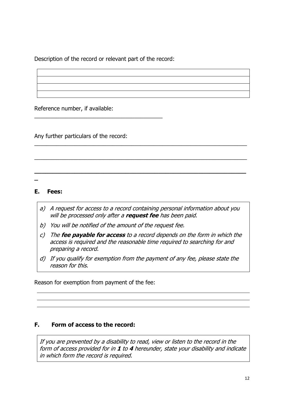Description of the record or relevant part of the record:

\_\_\_\_\_\_\_\_\_\_\_\_\_\_\_\_\_\_\_\_\_\_\_\_\_\_\_\_\_\_\_\_\_\_\_\_\_\_\_\_\_

Reference number, if available:

Any further particulars of the record:

**\_**

#### **E. Fees:**

*a) A request for access to <sup>a</sup> record containing personal information about you will be processed only after <sup>a</sup> request fee has been paid.*

 $\overline{a_1}$  ,  $\overline{a_2}$  ,  $\overline{a_3}$  ,  $\overline{a_4}$  ,  $\overline{a_5}$  ,  $\overline{a_6}$  ,  $\overline{a_7}$  ,  $\overline{a_8}$  ,  $\overline{a_9}$  ,  $\overline{a_9}$  ,  $\overline{a_1}$  ,  $\overline{a_2}$  ,  $\overline{a_3}$  ,  $\overline{a_4}$  ,  $\overline{a_5}$  ,  $\overline{a_7}$  ,  $\overline{a_8}$  ,

 $\overline{a_1}$  ,  $\overline{a_2}$  ,  $\overline{a_3}$  ,  $\overline{a_4}$  ,  $\overline{a_5}$  ,  $\overline{a_6}$  ,  $\overline{a_7}$  ,  $\overline{a_8}$  ,  $\overline{a_9}$  ,  $\overline{a_9}$  ,  $\overline{a_1}$  ,  $\overline{a_2}$  ,  $\overline{a_3}$  ,  $\overline{a_4}$  ,  $\overline{a_5}$  ,  $\overline{a_7}$  ,  $\overline{a_8}$  ,

**\_\_\_\_\_\_\_\_\_\_\_\_\_\_\_\_\_\_\_\_\_\_\_\_\_\_\_\_\_\_\_\_\_\_\_\_\_\_\_\_\_\_\_\_\_\_\_\_\_\_\_\_\_\_\_\_\_\_**

- *b) You will be notified of the amount of the request fee.*
- *c) The fee payable for access to <sup>a</sup> record depends on the form in which the access is required and the reasonable time required to searching for and preparing <sup>a</sup> record.*
- *d) If you qualify for exemption from the payment of any fee, please state the reason for this.*

Reason for exemption from payment of the fee:

## **F. Form of access to the record:**

*If you are prevented by <sup>a</sup> disability to read, view or listen to the record in the form of access provided for in 1 to 4 hereunder, state your disability and indicate in which form the record is required.*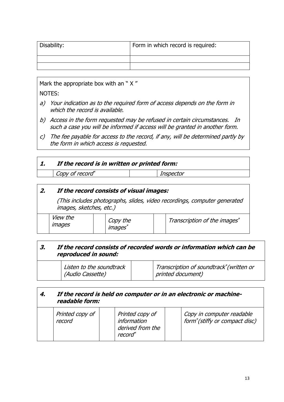| Disability: | Form in which record is required: |
|-------------|-----------------------------------|
|             |                                   |
|             |                                   |

Mark the appropriate box with an "X"

NOTES:

- *a) Your indication as to the required form of access depends on the form in which the record is available.*
- *b) Access in the form requested may be refused in certain circumstances. In such <sup>a</sup> case you will be informed if access will be granted in another form.*
- *c) The fee payable for access to the record, if any, will be determined partly by the form in which access is requested.*

## *1. If the record is in written or printed form:*

*Copy of record \**

## *2. If the record consists of visual images:*

*(This includes photographs, slides, video recordings, computer generated images, sketches, etc.)*

*Inspector*

|  | <i>View the</i><br><i><b>Images</b></i> |  | Copy the<br><i>images</i> |  | Transcription of the images* |
|--|-----------------------------------------|--|---------------------------|--|------------------------------|
|--|-----------------------------------------|--|---------------------------|--|------------------------------|

## *3. If the record consists of recorded words or information which can be reproduced in sound:*

| Listen to the soundtrack<br>(Audio Cassette) |  | Transcription of soundtrack*(written or<br>printed document) |
|----------------------------------------------|--|--------------------------------------------------------------|
|----------------------------------------------|--|--------------------------------------------------------------|

#### *4. If the record is held on computer or in an electronic or machinereadable form:*

| Printed copy of<br>record | Printed copy of<br>information<br>derived from the<br>record* | Copy in computer readable<br>form <sup>*</sup> (stiffy or compact disc) |
|---------------------------|---------------------------------------------------------------|-------------------------------------------------------------------------|
|---------------------------|---------------------------------------------------------------|-------------------------------------------------------------------------|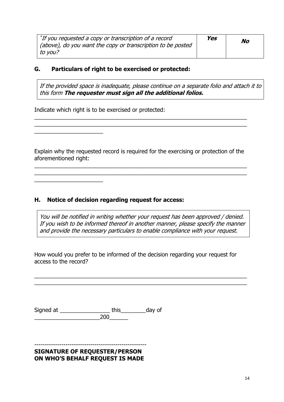| *If you requested a copy or transcription of a record              | Yes | No |
|--------------------------------------------------------------------|-----|----|
| $\mid$ (above), do you want the copy or transcription to be posted |     |    |
| $\mid$ to vou?                                                     |     |    |

#### **G. Particulars of right to be exercised or protected:**

*If the provided space is inadequate, please continue on <sup>a</sup> separate folio and attach it to this form The requester must sign all the additional folios.*

Indicate which right is to be exercised or protected:

\_\_\_\_\_\_\_\_\_\_\_\_\_\_\_\_\_\_\_\_\_\_

Explain why the requested record is required for the exercising or protection of the aforementioned right:

 $\overline{a_1}$  ,  $\overline{a_2}$  ,  $\overline{a_3}$  ,  $\overline{a_4}$  ,  $\overline{a_5}$  ,  $\overline{a_6}$  ,  $\overline{a_7}$  ,  $\overline{a_8}$  ,  $\overline{a_9}$  ,  $\overline{a_9}$  ,  $\overline{a_1}$  ,  $\overline{a_2}$  ,  $\overline{a_3}$  ,  $\overline{a_4}$  ,  $\overline{a_5}$  ,  $\overline{a_7}$  ,  $\overline{a_8}$  ,  $\overline{a_1}$  ,  $\overline{a_2}$  ,  $\overline{a_3}$  ,  $\overline{a_4}$  ,  $\overline{a_5}$  ,  $\overline{a_6}$  ,  $\overline{a_7}$  ,  $\overline{a_8}$  ,  $\overline{a_9}$  ,  $\overline{a_9}$  ,  $\overline{a_1}$  ,  $\overline{a_2}$  ,  $\overline{a_3}$  ,  $\overline{a_4}$  ,  $\overline{a_5}$  ,  $\overline{a_7}$  ,  $\overline{a_8}$  ,

 $\overline{a_1}$  ,  $\overline{a_2}$  ,  $\overline{a_3}$  ,  $\overline{a_4}$  ,  $\overline{a_5}$  ,  $\overline{a_6}$  ,  $\overline{a_7}$  ,  $\overline{a_8}$  ,  $\overline{a_9}$  ,  $\overline{a_9}$  ,  $\overline{a_1}$  ,  $\overline{a_2}$  ,  $\overline{a_3}$  ,  $\overline{a_4}$  ,  $\overline{a_5}$  ,  $\overline{a_7}$  ,  $\overline{a_8}$  ,  $\overline{a_1}$  ,  $\overline{a_2}$  ,  $\overline{a_3}$  ,  $\overline{a_4}$  ,  $\overline{a_5}$  ,  $\overline{a_6}$  ,  $\overline{a_7}$  ,  $\overline{a_8}$  ,  $\overline{a_9}$  ,  $\overline{a_9}$  ,  $\overline{a_1}$  ,  $\overline{a_2}$  ,  $\overline{a_3}$  ,  $\overline{a_4}$  ,  $\overline{a_5}$  ,  $\overline{a_7}$  ,  $\overline{a_8}$  ,

## **H. Notice of decision regarding request for access:**

*You will be notified in writing whether your request has been approved / denied. If you wish to be informed thereof in another manner, please specify the manner and provide the necessary particulars to enable compliance with your request.*

How would you prefer to be informed of the decision regarding your request for access to the record?

 $\overline{a_1}$  ,  $\overline{a_2}$  ,  $\overline{a_3}$  ,  $\overline{a_4}$  ,  $\overline{a_5}$  ,  $\overline{a_6}$  ,  $\overline{a_7}$  ,  $\overline{a_8}$  ,  $\overline{a_9}$  ,  $\overline{a_9}$  ,  $\overline{a_1}$  ,  $\overline{a_2}$  ,  $\overline{a_3}$  ,  $\overline{a_4}$  ,  $\overline{a_5}$  ,  $\overline{a_7}$  ,  $\overline{a_8}$  ,  $\overline{a_1}$  ,  $\overline{a_2}$  ,  $\overline{a_3}$  ,  $\overline{a_4}$  ,  $\overline{a_5}$  ,  $\overline{a_6}$  ,  $\overline{a_7}$  ,  $\overline{a_8}$  ,  $\overline{a_9}$  ,  $\overline{a_9}$  ,  $\overline{a_1}$  ,  $\overline{a_2}$  ,  $\overline{a_3}$  ,  $\overline{a_4}$  ,  $\overline{a_5}$  ,  $\overline{a_7}$  ,  $\overline{a_8}$  ,

Signed at \_\_\_\_\_\_\_\_\_\_\_\_\_\_\_\_ this\_\_\_\_\_\_\_\_day of \_\_\_\_\_\_\_\_\_\_\_\_\_\_\_\_\_\_\_\_\_200\_\_\_\_\_\_

------------------------------------------------------ **SIGNATURE OF REQUESTER/PERSON ON WHO'S BEHALF REQUEST IS MADE**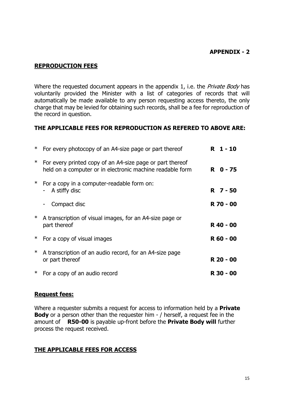#### **APPENDIX - 2**

#### <span id="page-16-0"></span>**REPRODUCTION FEES**

Where the requested document appears in the appendix 1, i.e. the *Private Body* has voluntarily provided the Minister with a list of categories of records that will automatically be made available to any person requesting access thereto, the only charge that may be levied for obtaining such records, shall be a fee for reproduction of the record in question.

#### **THE APPLICABLE FEES FOR REPRODUCTION AS REFERED TO ABOVE ARE:**

| ∗      | For every photocopy of an A4-size page or part thereof                                                                 | R 1-10    |  |
|--------|------------------------------------------------------------------------------------------------------------------------|-----------|--|
| $\ast$ | For every printed copy of an A4-size page or part thereof<br>held on a computer or in electronic machine readable form | R 0-75    |  |
| $\ast$ | For a copy in a computer-readable form on:<br>A stiffy disc                                                            | R 7 - 50  |  |
|        | Compact disc<br>$\qquad \qquad \blacksquare$                                                                           | R 70 - 00 |  |
| $\ast$ | A transcription of visual images, for an A4-size page or<br>part thereof                                               | R 40 - 00 |  |
| $\ast$ | For a copy of visual images                                                                                            | R 60 - 00 |  |
| $\ast$ | A transcription of an audio record, for an A4-size page<br>or part thereof                                             | R 20 - 00 |  |
| $\ast$ | For a copy of an audio record                                                                                          | R 30 - 00 |  |
|        |                                                                                                                        |           |  |

#### **Request fees:**

Where a requester submits a request for access to information held by a **Private Body** or a person other than the requester him - / herself, a request fee in the amount of **R50-00** is payable up-front before the **Private Body will** further process the request received.

#### **THE APPLICABLE FEES FOR ACCESS**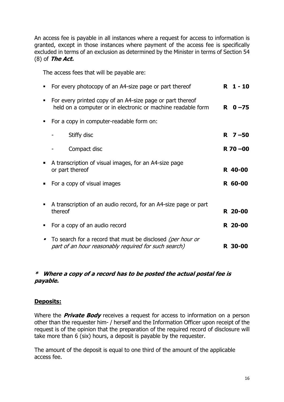An access fee is payable in all instances where a request for access to information is granted, except in those instances where payment of the access fee is specifically excluded in terms of an exclusion as determined by the Minister in terms of Section 54 (8) of *The Act.*

The access fees that will be payable are:

| For every photocopy of an A4-size page or part thereof                                                                    | R.<br>$1 - 10$ |
|---------------------------------------------------------------------------------------------------------------------------|----------------|
| For every printed copy of an A4-size page or part thereof<br>held on a computer or in electronic or machine readable form | $R = 0 - 75$   |
| For a copy in computer-readable form on:                                                                                  |                |
| Stiffy disc                                                                                                               | $R \t 7 - 50$  |
| Compact disc                                                                                                              | $R$ 70 $-00$   |
| A transcription of visual images, for an A4-size page<br>or part thereof                                                  | R 40-00        |
| For a copy of visual images                                                                                               | R 60-00        |
| A transcription of an audio record, for an A4-size page or part<br>thereof                                                | R 20-00        |
| For a copy of an audio record                                                                                             | R 20-00        |
| To search for a record that must be disclosed (per hour or<br>part of an hour reasonably required for such search)        | R 30-00        |

#### *\* Where <sup>a</sup> copy of <sup>a</sup> record has to be posted the actual postal fee is payable.*

## **Deposits:**

Where the *Private Body* receives a request for access to information on a person other than the requester him- / herself and the Information Officer upon receipt of the request is of the opinion that the preparation of the required record of disclosure will take more than 6 (six) hours, a deposit is payable by the requester.

The amount of the deposit is equal to one third of the amount of the applicable access fee.